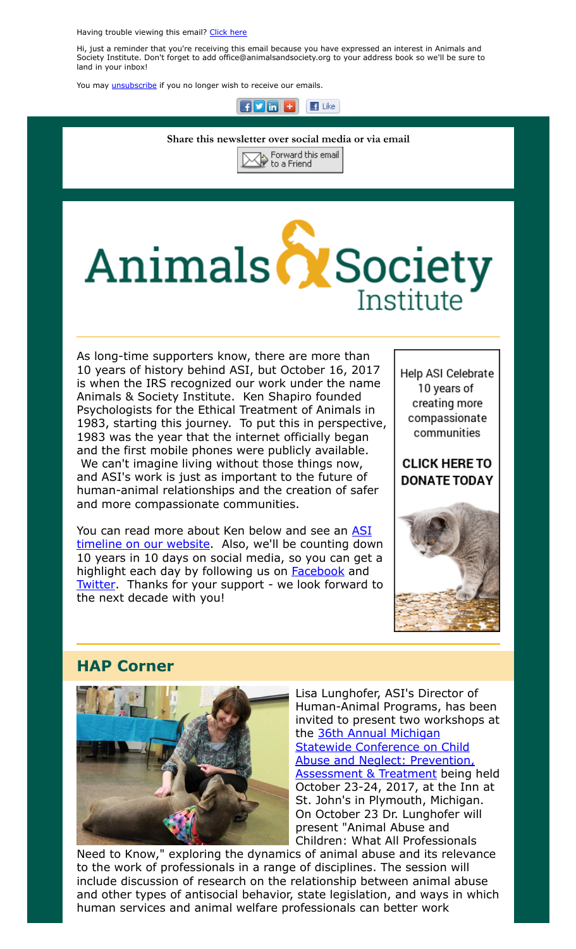Having trouble viewing this email? [Click](http://campaign.r20.constantcontact.com/render?ca=d8b6ac78-2998-419c-8a52-907aeebb7127&preview=true&m=1117082078075&id=preview) here

Hi, just a reminder that you're receiving this email because you have expressed an interest in Animals and Society Institute. Don't forget to add office@animalsandsociety.org to your address book so we'll be sure to land in your inbox!

You may *[unsubscribe](https://visitor.constantcontact.com/do?p=un&mse=0016u8cGCOk4ijLe6EYFlbq8UmlFeKV0nFU&t=001NxxpbZ2zexZ78PojgD3qAw%3D%3D&id=001b-xBWU3VMkcM8dYr8taaWXSJRe02Iknl&llr=88spulqab)* if you no longer wish to receive our emails.



#### Share this newsletter over social media or via email



# Animals & Society Institute

As long-time supporters know, there are more than 10 years of history behind ASI, but October 16, 2017 is when the IRS recognized our work under the name Animals & Society Institute. Ken Shapiro founded Psychologists for the Ethical Treatment of Animals in 1983, starting this journey. To put this in perspective, 1983 was the year that the internet officially began and the first mobile phones were publicly available. We can't imagine living without those things now, and ASI's work is just as important to the future of human-animal relationships and the creation of safer and more compassionate communities.

You can read more about Ken below and see an ASI [timeline on our website. Also, we'll be counting dow](https://www.animalsandsociety.org/timeline/)n 10 years in 10 days on social media, so you can get a highlight each day by following us on **[Facebook](https://www.facebook.com/AnimalsandSocietyInstitute/)** and [Twitter.](https://twitter.com/asi_org) Thanks for your support - we look forward to the next decade with you!

Help ASI Celebrate 10 years of creating more compassionate communities

**CLICK HERE TO DONATE TODAY** 



### HAP Corner



Lisa Lunghofer, ASI's Director of Human-Animal Programs, has been invited to present two workshops at the 36th Annual Michigan **Statewide Conference on Child** [Abuse and Neglect: Prevention,](https://www.canconferenceuofm.org/) **Assessment & Treatment being held** October 23-24, 2017, at the Inn at St. John's in Plymouth, Michigan. On October 23 Dr. Lunghofer will present "Animal Abuse and Children: What All Professionals

Need to Know," exploring the dynamics of animal abuse and its relevance to the work of professionals in a range of disciplines. The session will include discussion of research on the relationship between animal abuse and other types of antisocial behavior, state legislation, and ways in which human services and animal welfare professionals can better work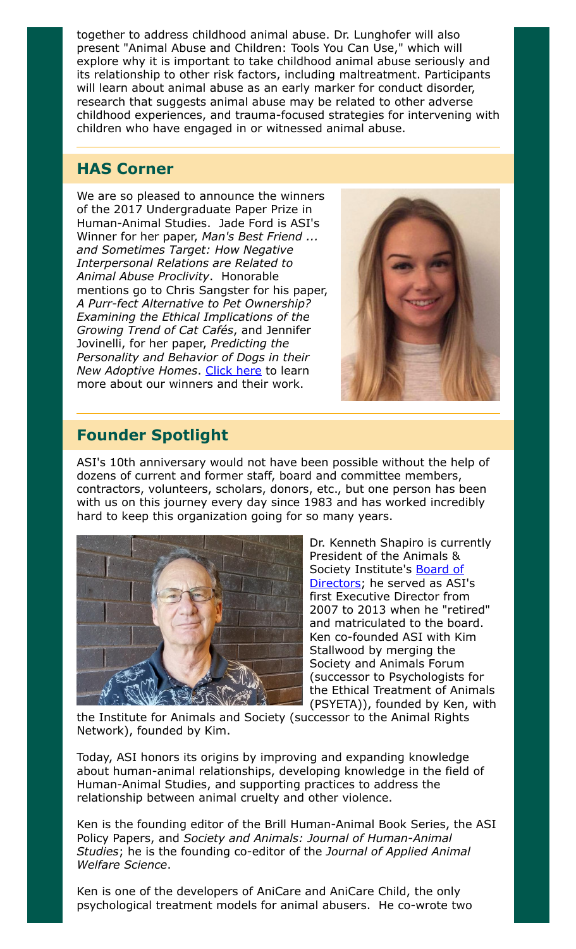together to address childhood animal abuse. Dr. Lunghofer will also present "Animal Abuse and Children: Tools You Can Use," which will explore why it is important to take childhood animal abuse seriously and its relationship to other risk factors, including maltreatment. Participants will learn about animal abuse as an early marker for conduct disorder, research that suggests animal abuse may be related to other adverse childhood experiences, and trauma-focused strategies for intervening with children who have engaged in or witnessed animal abuse.

## HAS Corner

We are so pleased to announce the winners of the 2017 Undergraduate Paper Prize in Human-Animal Studies. Jade Ford is ASI's Winner for her paper, Man's Best Friend ... and Sometimes Target: How Negative Interpersonal Relations are Related to Animal Abuse Proclivity. Honorable mentions go to Chris Sangster for his paper, A Purr-fect Alternative to Pet Ownership? Examining the Ethical Implications of the Growing Trend of Cat Cafés, and Jennifer Jovinelli, for her paper, Predicting the Personality and Behavior of Dogs in their New Adoptive Homes. [Click here](https://www.animalsandsociety.org/human-animal-studies/undergraduate-paper-prize/2017-undergraduate-paper-prize-winners/) to learn more about our winners and their work.



## Founder Spotlight

ASI's 10th anniversary would not have been possible without the help of dozens of current and former staff, board and committee members, contractors, volunteers, scholars, donors, etc., but one person has been with us on this journey every day since 1983 and has worked incredibly hard to keep this organization going for so many years.



Dr. Kenneth Shapiro is currently President of the Animals & Society Institute's **Board of** [Directors; he served as ASI](https://www.animalsandsociety.org/about-asi/board-members/)'s first Executive Director from 2007 to 2013 when he "retired" and matriculated to the board. Ken co-founded ASI with Kim Stallwood by merging the Society and Animals Forum (successor to Psychologists for the Ethical Treatment of Animals (PSYETA)), founded by Ken, with

the Institute for Animals and Society (successor to the Animal Rights Network), founded by Kim.

Today, ASI honors its origins by improving and expanding knowledge about human-animal relationships, developing knowledge in the field of Human-Animal Studies, and supporting practices to address the relationship between animal cruelty and other violence.

Ken is the founding editor of the Brill Human-Animal Book Series, the ASI Policy Papers, and Society and Animals: Journal of Human-Animal Studies; he is the founding co-editor of the Journal of Applied Animal Welfare Science.

Ken is one of the developers of AniCare and AniCare Child, the only psychological treatment models for animal abusers. He co-wrote two